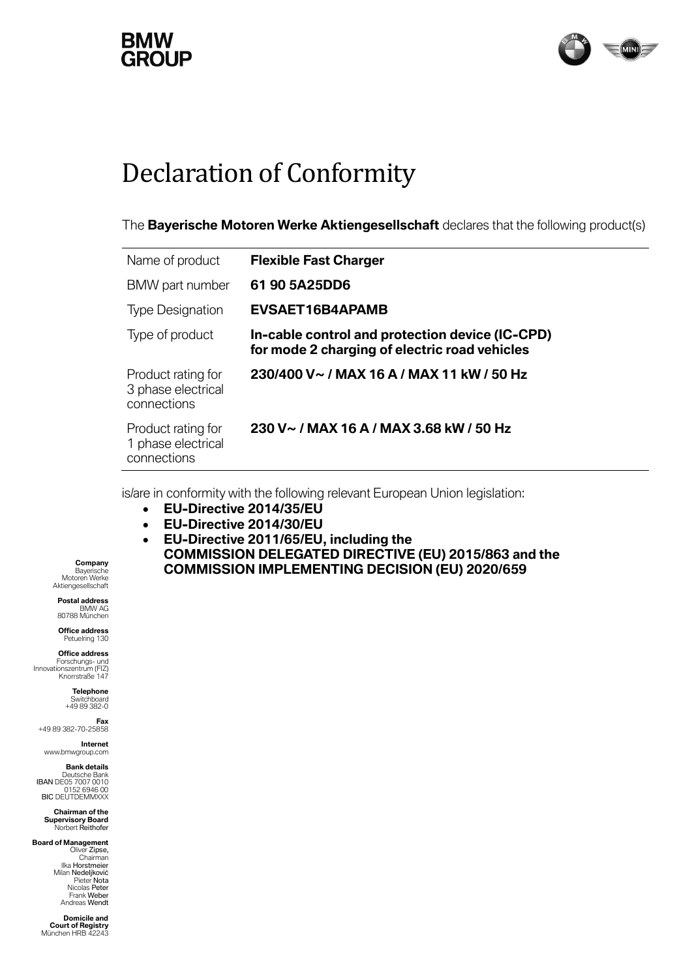## **GROUP**



## Declaration of Conformity

The **Bayerische Motoren Werke Aktiengesellschaft** declares that the following product(s)

| Name of product                                         | <b>Flexible Fast Charger</b>                                                                     |
|---------------------------------------------------------|--------------------------------------------------------------------------------------------------|
| BMW part number                                         | 61 90 5A25DD6                                                                                    |
| <b>Type Designation</b>                                 | <b>EVSAET16B4APAMB</b>                                                                           |
| Type of product                                         | In-cable control and protection device (IC-CPD)<br>for mode 2 charging of electric road vehicles |
| Product rating for<br>3 phase electrical<br>connections | 230/400 V~ / MAX 16 A / MAX 11 kW / 50 Hz                                                        |
| Product rating for<br>1 phase electrical<br>connections | 230 V~ / MAX 16 A / MAX 3.68 kW / 50 Hz                                                          |

is/are in conformity with the following relevant European Union legislation:

- **EU-Directive 2014/35/EU**
- **EU-Directive 2014/30/EU**
- **EU-Directive 2011/65/EU, including the COMMISSION DELEGATED DIRECTIVE (EU) 2015/863 and the COMMISSION IMPLEMENTING DECISION (EU) 2020/659**

**Company** Bayerische Motoren Werke Aktiengesellschaft

**Postal address** BMW AG 80788 München

**Office address** Petuelring 130

**Office address**<br>Forschungs- und<br>Innovationszentrum (FIZ) Knorrstraße 147

> **Telephone** Switchboard +49 89 382-0

**Fax** +49 89 382-70-25858

**Internet** www.bmwgroup.com

**Bank details**

Deutsche Bank<br>IBAN DE05 7007 0010<br>152 6946 00 BIC DEUTDEMMXXX

**Chairman of the Supervisory Board** Norbert Reithofer

**Board of Management** Oliver Zipse, Chairman Ilka Horstmeier Milan Nedeljković Pieter Nota Nicolas Peter Frank Weber Andreas Wendt

> **Domicile and Court of Registry** München HRB 42243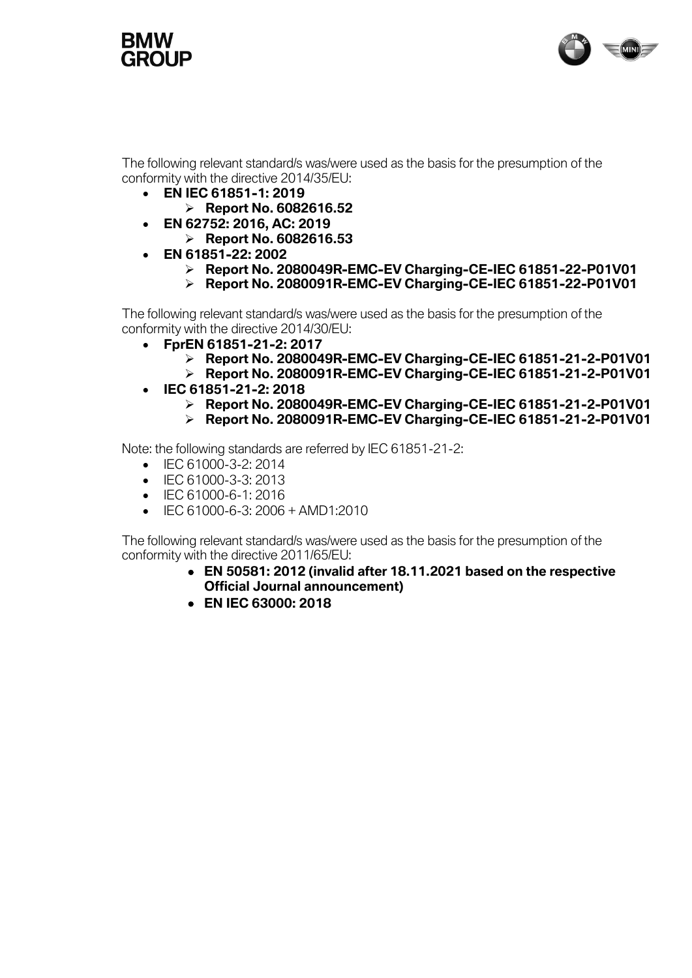



The following relevant standard/s was/were used as the basis for the presumption of the conformity with the directive 2014/35/EU:

- **EN IEC 61851-1: 2019**
	- ➢ **Report No. 6082616.52**
- **EN 62752: 2016, AC: 2019** 
	- ➢ **Report No. 6082616.53**
- **EN 61851-22: 2002**
	- ➢ **Report No. 2080049R-EMC-EV Charging-CE-IEC 61851-22-P01V01**
	- ➢ **Report No. 2080091R-EMC-EV Charging-CE-IEC 61851-22-P01V01**

The following relevant standard/s was/were used as the basis for the presumption of the conformity with the directive 2014/30/EU:

- **FprEN 61851-21-2: 2017**
	- ➢ **Report No. 2080049R-EMC-EV Charging-CE-IEC 61851-21-2-P01V01**
	- ➢ **Report No. 2080091R-EMC-EV Charging-CE-IEC 61851-21-2-P01V01**
- **IEC 61851-21-2: 2018**
	- ➢ **Report No. 2080049R-EMC-EV Charging-CE-IEC 61851-21-2-P01V01**
	- ➢ **Report No. 2080091R-EMC-EV Charging-CE-IEC 61851-21-2-P01V01**

Note: the following standards are referred by IEC 61851-21-2:

- IEC 61000-3-2: 2014
- IFC 61000-3-3: 2013
- IEC 61000-6-1: 2016
- IEC 61000-6-3: 2006 + AMD1:2010

The following relevant standard/s was/were used as the basis for the presumption of the conformity with the directive 2011/65/EU:

- **EN 50581: 2012 (invalid after 18.11.2021 based on the respective Official Journal announcement)**
- **EN IEC 63000: 2018**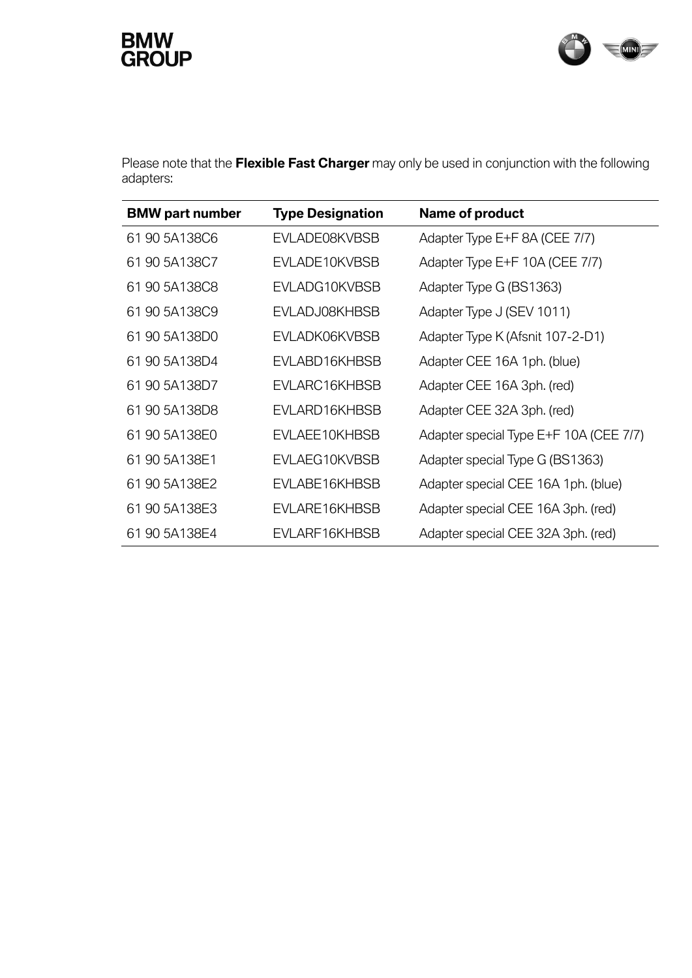## **BMW<br>GROUP**



Please note that the **Flexible Fast Charger** may only be used in conjunction with the following adapters:

| <b>BMW</b> part number | <b>Type Designation</b> | Name of product                        |
|------------------------|-------------------------|----------------------------------------|
| 61 90 5A138C6          | EVLADE08KVBSB           | Adapter Type E+F 8A (CEE 7/7)          |
| 61 90 5A138C7          | EVLADE10KVBSB           | Adapter Type E+F 10A (CEE 7/7)         |
| 61 90 5A138C8          | EVLADG10KVBSB           | Adapter Type G (BS1363)                |
| 61 90 5A138C9          | EVLADJ08KHBSB           | Adapter Type J (SEV 1011)              |
| 61 90 5A138D0          | EVLADK06KVBSB           | Adapter Type K (Afsnit 107-2-D1)       |
| 61 90 5A138D4          | EVLABD16KHBSB           | Adapter CEE 16A 1ph. (blue)            |
| 61 90 5A138D7          | EVLARC16KHBSB           | Adapter CEE 16A 3ph. (red)             |
| 61 90 5A138D8          | EVLARD16KHBSB           | Adapter CEE 32A 3ph. (red)             |
| 61 90 5A138E0          | EVLAEE10KHBSB           | Adapter special Type E+F 10A (CEE 7/7) |
| 61 90 5A138E1          | EVLAEG10KVBSB           | Adapter special Type G (BS1363)        |
| 61 90 5A138E2          | EVLABE16KHBSB           | Adapter special CEE 16A 1ph. (blue)    |
| 61 90 5A138E3          | EVLARE16KHBSB           | Adapter special CEE 16A 3ph. (red)     |
| 61 90 5A138E4          | EVLARF16KHBSB           | Adapter special CEE 32A 3ph. (red)     |